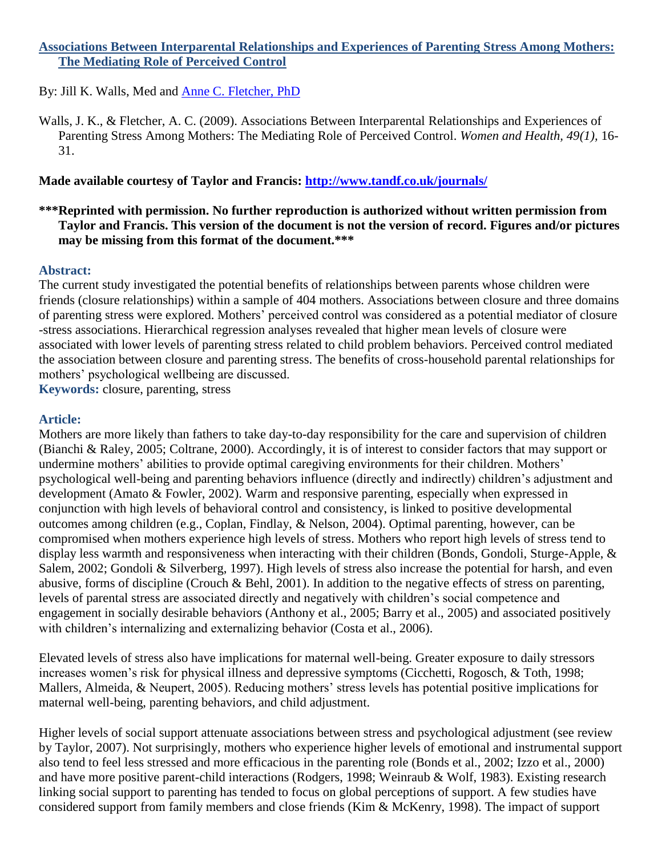## **Associations Between Interparental Relationships and Experiences of Parenting Stress Among Mothers: The Mediating Role of Perceived Control**

By: Jill K. Walls, Med and [Anne C. Fletcher, PhD](http://libres.uncg.edu/ir/uncg/clist.aspx?id=1352)

Walls, J. K., & Fletcher, A. C. (2009). Associations Between Interparental Relationships and Experiences of Parenting Stress Among Mothers: The Mediating Role of Perceived Control. *Women and Health, 49(1),* 16- 31.

**Made available courtesy of Taylor and Francis:<http://www.tandf.co.uk/journals/>**

## **\*\*\*Reprinted with permission. No further reproduction is authorized without written permission from Taylor and Francis. This version of the document is not the version of record. Figures and/or pictures may be missing from this format of the document.\*\*\***

# **Abstract:**

The current study investigated the potential benefits of relationships between parents whose children were friends (closure relationships) within a sample of 404 mothers. Associations between closure and three domains of parenting stress were explored. Mothers' perceived control was considered as a potential mediator of closure -stress associations. Hierarchical regression analyses revealed that higher mean levels of closure were associated with lower levels of parenting stress related to child problem behaviors. Perceived control mediated the association between closure and parenting stress. The benefits of cross-household parental relationships for mothers' psychological wellbeing are discussed.

**Keywords:** closure, parenting, stress

# **Article:**

Mothers are more likely than fathers to take day-to-day responsibility for the care and supervision of children (Bianchi & Raley, 2005; Coltrane, 2000). Accordingly, it is of interest to consider factors that may support or undermine mothers' abilities to provide optimal caregiving environments for their children. Mothers' psychological well-being and parenting behaviors influence (directly and indirectly) children's adjustment and development (Amato & Fowler, 2002). Warm and responsive parenting, especially when expressed in conjunction with high levels of behavioral control and consistency, is linked to positive developmental outcomes among children (e.g., Coplan, Findlay, & Nelson, 2004). Optimal parenting, however, can be compromised when mothers experience high levels of stress. Mothers who report high levels of stress tend to display less warmth and responsiveness when interacting with their children (Bonds, Gondoli, Sturge-Apple, & Salem, 2002; Gondoli & Silverberg, 1997). High levels of stress also increase the potential for harsh, and even abusive, forms of discipline (Crouch & Behl, 2001). In addition to the negative effects of stress on parenting, levels of parental stress are associated directly and negatively with children's social competence and engagement in socially desirable behaviors (Anthony et al., 2005; Barry et al., 2005) and associated positively with children's internalizing and externalizing behavior (Costa et al., 2006).

Elevated levels of stress also have implications for maternal well-being. Greater exposure to daily stressors increases women's risk for physical illness and depressive symptoms (Cicchetti, Rogosch, & Toth, 1998; Mallers, Almeida, & Neupert, 2005). Reducing mothers' stress levels has potential positive implications for maternal well-being, parenting behaviors, and child adjustment.

Higher levels of social support attenuate associations between stress and psychological adjustment (see review by Taylor, 2007). Not surprisingly, mothers who experience higher levels of emotional and instrumental support also tend to feel less stressed and more efficacious in the parenting role (Bonds et al., 2002; Izzo et al., 2000) and have more positive parent-child interactions (Rodgers, 1998; Weinraub & Wolf, 1983). Existing research linking social support to parenting has tended to focus on global perceptions of support. A few studies have considered support from family members and close friends (Kim & McKenry, 1998). The impact of support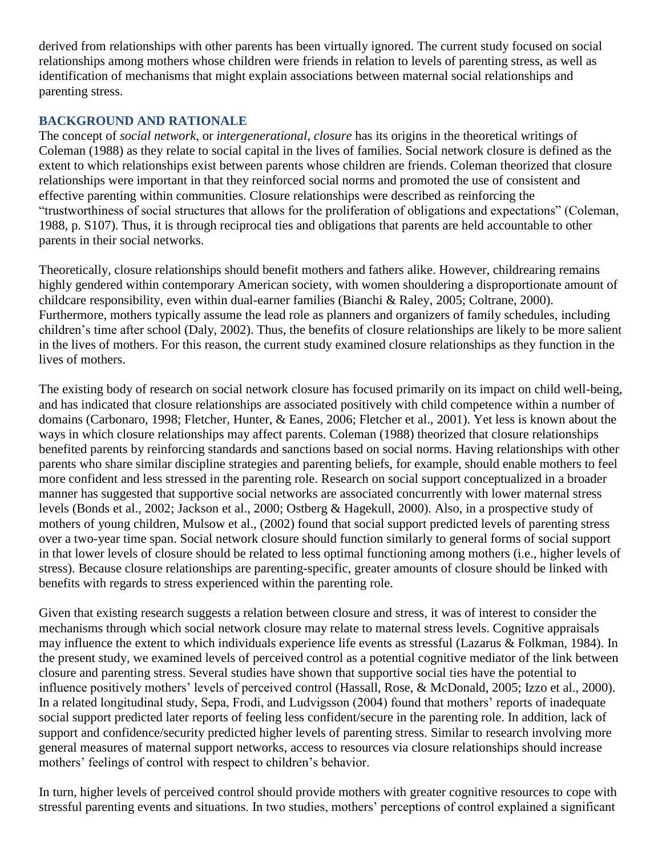derived from relationships with other parents has been virtually ignored. The current study focused on social relationships among mothers whose children were friends in relation to levels of parenting stress, as well as identification of mechanisms that might explain associations between maternal social relationships and parenting stress.

# **BACKGROUND AND RATIONALE**

The concept of *social network*, or *intergenerational*, *closure* has its origins in the theoretical writings of Coleman (1988) as they relate to social capital in the lives of families. Social network closure is defined as the extent to which relationships exist between parents whose children are friends. Coleman theorized that closure relationships were important in that they reinforced social norms and promoted the use of consistent and effective parenting within communities. Closure relationships were described as reinforcing the ―trustworthiness of social structures that allows for the proliferation of obligations and expectations‖ (Coleman, 1988, p. S107). Thus, it is through reciprocal ties and obligations that parents are held accountable to other parents in their social networks.

Theoretically, closure relationships should benefit mothers and fathers alike. However, childrearing remains highly gendered within contemporary American society, with women shouldering a disproportionate amount of childcare responsibility, even within dual-earner families (Bianchi & Raley, 2005; Coltrane, 2000). Furthermore, mothers typically assume the lead role as planners and organizers of family schedules, including children's time after school (Daly, 2002). Thus, the benefits of closure relationships are likely to be more salient in the lives of mothers. For this reason, the current study examined closure relationships as they function in the lives of mothers.

The existing body of research on social network closure has focused primarily on its impact on child well-being, and has indicated that closure relationships are associated positively with child competence within a number of domains (Carbonaro, 1998; Fletcher, Hunter, & Eanes, 2006; Fletcher et al., 2001). Yet less is known about the ways in which closure relationships may affect parents. Coleman (1988) theorized that closure relationships benefited parents by reinforcing standards and sanctions based on social norms. Having relationships with other parents who share similar discipline strategies and parenting beliefs, for example, should enable mothers to feel more confident and less stressed in the parenting role. Research on social support conceptualized in a broader manner has suggested that supportive social networks are associated concurrently with lower maternal stress levels (Bonds et al., 2002; Jackson et al., 2000; Ostberg & Hagekull, 2000). Also, in a prospective study of mothers of young children, Mulsow et al., (2002) found that social support predicted levels of parenting stress over a two-year time span. Social network closure should function similarly to general forms of social support in that lower levels of closure should be related to less optimal functioning among mothers (i.e., higher levels of stress). Because closure relationships are parenting-specific, greater amounts of closure should be linked with benefits with regards to stress experienced within the parenting role.

Given that existing research suggests a relation between closure and stress, it was of interest to consider the mechanisms through which social network closure may relate to maternal stress levels. Cognitive appraisals may influence the extent to which individuals experience life events as stressful (Lazarus & Folkman, 1984). In the present study, we examined levels of perceived control as a potential cognitive mediator of the link between closure and parenting stress. Several studies have shown that supportive social ties have the potential to influence positively mothers' levels of perceived control (Hassall, Rose, & McDonald, 2005; Izzo et al., 2000). In a related longitudinal study, Sepa, Frodi, and Ludvigsson (2004) found that mothers' reports of inadequate social support predicted later reports of feeling less confident/secure in the parenting role. In addition, lack of support and confidence/security predicted higher levels of parenting stress. Similar to research involving more general measures of maternal support networks, access to resources via closure relationships should increase mothers' feelings of control with respect to children's behavior.

In turn, higher levels of perceived control should provide mothers with greater cognitive resources to cope with stressful parenting events and situations. In two studies, mothers' perceptions of control explained a significant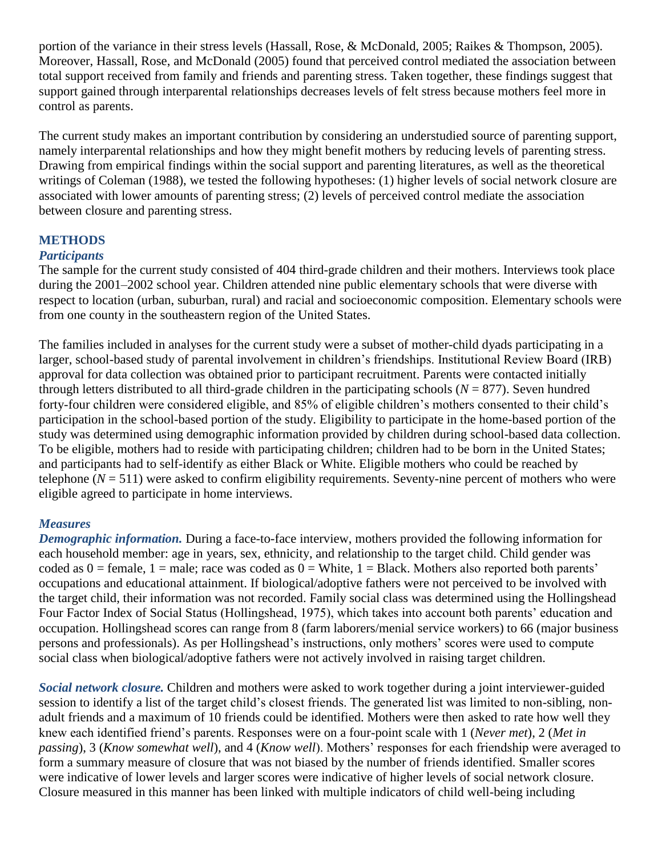portion of the variance in their stress levels (Hassall, Rose, & McDonald, 2005; Raikes & Thompson, 2005). Moreover, Hassall, Rose, and McDonald (2005) found that perceived control mediated the association between total support received from family and friends and parenting stress. Taken together, these findings suggest that support gained through interparental relationships decreases levels of felt stress because mothers feel more in control as parents.

The current study makes an important contribution by considering an understudied source of parenting support, namely interparental relationships and how they might benefit mothers by reducing levels of parenting stress. Drawing from empirical findings within the social support and parenting literatures, as well as the theoretical writings of Coleman (1988), we tested the following hypotheses: (1) higher levels of social network closure are associated with lower amounts of parenting stress; (2) levels of perceived control mediate the association between closure and parenting stress.

## **METHODS**

## *Participants*

The sample for the current study consisted of 404 third-grade children and their mothers. Interviews took place during the 2001–2002 school year. Children attended nine public elementary schools that were diverse with respect to location (urban, suburban, rural) and racial and socioeconomic composition. Elementary schools were from one county in the southeastern region of the United States.

The families included in analyses for the current study were a subset of mother-child dyads participating in a larger, school-based study of parental involvement in children's friendships. Institutional Review Board (IRB) approval for data collection was obtained prior to participant recruitment. Parents were contacted initially through letters distributed to all third-grade children in the participating schools  $(N = 877)$ . Seven hundred forty-four children were considered eligible, and 85% of eligible children's mothers consented to their child's participation in the school-based portion of the study. Eligibility to participate in the home-based portion of the study was determined using demographic information provided by children during school-based data collection. To be eligible, mothers had to reside with participating children; children had to be born in the United States; and participants had to self-identify as either Black or White. Eligible mothers who could be reached by telephone  $(N = 511)$  were asked to confirm eligibility requirements. Seventy-nine percent of mothers who were eligible agreed to participate in home interviews.

## *Measures*

*Demographic information.* During a face-to-face interview, mothers provided the following information for each household member: age in years, sex, ethnicity, and relationship to the target child. Child gender was coded as  $0 =$  female,  $1 =$  male; race was coded as  $0 =$  White,  $1 =$  Black. Mothers also reported both parents' occupations and educational attainment. If biological/adoptive fathers were not perceived to be involved with the target child, their information was not recorded. Family social class was determined using the Hollingshead Four Factor Index of Social Status (Hollingshead, 1975), which takes into account both parents' education and occupation. Hollingshead scores can range from 8 (farm laborers/menial service workers) to 66 (major business persons and professionals). As per Hollingshead's instructions, only mothers' scores were used to compute social class when biological/adoptive fathers were not actively involved in raising target children.

*Social network closure.* Children and mothers were asked to work together during a joint interviewer-guided session to identify a list of the target child's closest friends. The generated list was limited to non-sibling, nonadult friends and a maximum of 10 friends could be identified. Mothers were then asked to rate how well they knew each identified friend's parents. Responses were on a four-point scale with 1 (*Never met*), 2 (*Met in passing*), 3 (*Know somewhat well*), and 4 (*Know well*). Mothers' responses for each friendship were averaged to form a summary measure of closure that was not biased by the number of friends identified. Smaller scores were indicative of lower levels and larger scores were indicative of higher levels of social network closure. Closure measured in this manner has been linked with multiple indicators of child well-being including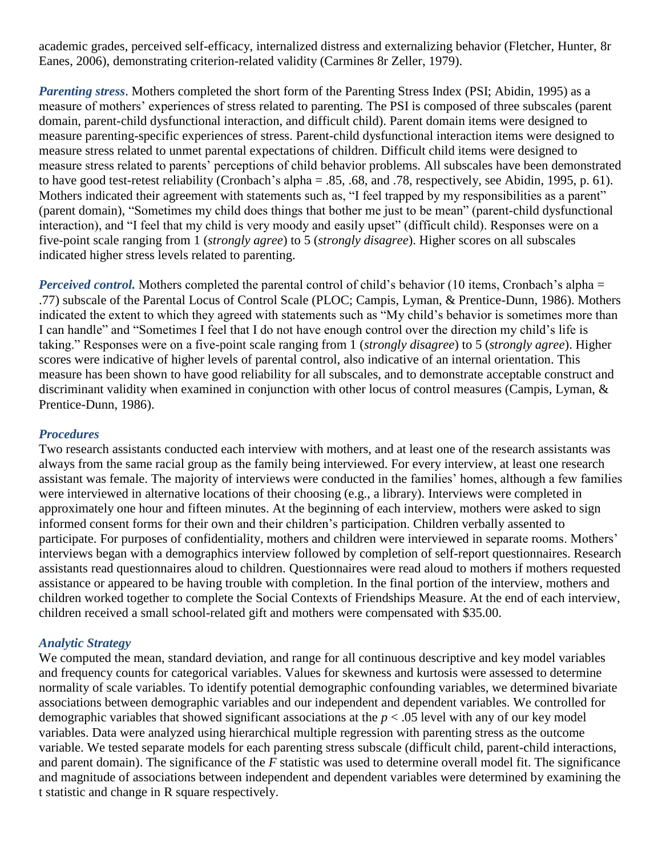academic grades, perceived self-efficacy, internalized distress and externalizing behavior (Fletcher, Hunter, 8r Eanes, 2006), demonstrating criterion-related validity (Carmines 8r Zeller, 1979).

*Parenting stress*. Mothers completed the short form of the Parenting Stress Index (PSI; Abidin, 1995) as a measure of mothers' experiences of stress related to parenting. The PSI is composed of three subscales (parent domain, parent-child dysfunctional interaction, and difficult child). Parent domain items were designed to measure parenting-specific experiences of stress. Parent-child dysfunctional interaction items were designed to measure stress related to unmet parental expectations of children. Difficult child items were designed to measure stress related to parents' perceptions of child behavior problems. All subscales have been demonstrated to have good test-retest reliability (Cronbach's alpha = .85, .68, and .78, respectively, see Abidin, 1995, p. 61). Mothers indicated their agreement with statements such as, "I feel trapped by my responsibilities as a parent" (parent domain), "Sometimes my child does things that bother me just to be mean" (parent-child dysfunctional interaction), and "I feel that my child is very moody and easily upset" (difficult child). Responses were on a five-point scale ranging from 1 (*strongly agree*) to 5 (*strongly disagree*). Higher scores on all subscales indicated higher stress levels related to parenting.

*Perceived control.* Mothers completed the parental control of child's behavior (10 items, Cronbach's alpha = .77) subscale of the Parental Locus of Control Scale (PLOC; Campis, Lyman, & Prentice-Dunn, 1986). Mothers indicated the extent to which they agreed with statements such as "My child's behavior is sometimes more than I can handle" and "Sometimes I feel that I do not have enough control over the direction my child's life is taking.‖ Responses were on a five-point scale ranging from 1 (*strongly disagree*) to 5 (*strongly agree*). Higher scores were indicative of higher levels of parental control, also indicative of an internal orientation. This measure has been shown to have good reliability for all subscales, and to demonstrate acceptable construct and discriminant validity when examined in conjunction with other locus of control measures (Campis, Lyman, & Prentice-Dunn, 1986).

#### *Procedures*

Two research assistants conducted each interview with mothers, and at least one of the research assistants was always from the same racial group as the family being interviewed. For every interview, at least one research assistant was female. The majority of interviews were conducted in the families' homes, although a few families were interviewed in alternative locations of their choosing (e.g., a library). Interviews were completed in approximately one hour and fifteen minutes. At the beginning of each interview, mothers were asked to sign informed consent forms for their own and their children's participation. Children verbally assented to participate. For purposes of confidentiality, mothers and children were interviewed in separate rooms. Mothers' interviews began with a demographics interview followed by completion of self-report questionnaires. Research assistants read questionnaires aloud to children. Questionnaires were read aloud to mothers if mothers requested assistance or appeared to be having trouble with completion. In the final portion of the interview, mothers and children worked together to complete the Social Contexts of Friendships Measure. At the end of each interview, children received a small school-related gift and mothers were compensated with \$35.00.

### *Analytic Strategy*

We computed the mean, standard deviation, and range for all continuous descriptive and key model variables and frequency counts for categorical variables. Values for skewness and kurtosis were assessed to determine normality of scale variables. To identify potential demographic confounding variables, we determined bivariate associations between demographic variables and our independent and dependent variables. We controlled for demographic variables that showed significant associations at the *p* < .05 level with any of our key model variables. Data were analyzed using hierarchical multiple regression with parenting stress as the outcome variable. We tested separate models for each parenting stress subscale (difficult child, parent-child interactions, and parent domain). The significance of the *F* statistic was used to determine overall model fit. The significance and magnitude of associations between independent and dependent variables were determined by examining the t statistic and change in R square respectively.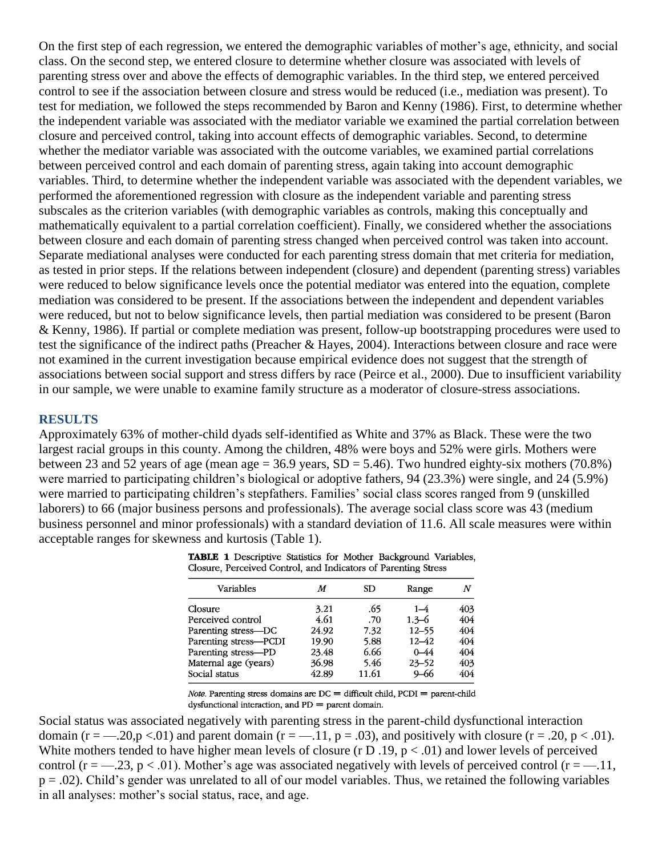On the first step of each regression, we entered the demographic variables of mother's age, ethnicity, and social class. On the second step, we entered closure to determine whether closure was associated with levels of parenting stress over and above the effects of demographic variables. In the third step, we entered perceived control to see if the association between closure and stress would be reduced (i.e., mediation was present). To test for mediation, we followed the steps recommended by Baron and Kenny (1986). First, to determine whether the independent variable was associated with the mediator variable we examined the partial correlation between closure and perceived control, taking into account effects of demographic variables. Second, to determine whether the mediator variable was associated with the outcome variables, we examined partial correlations between perceived control and each domain of parenting stress, again taking into account demographic variables. Third, to determine whether the independent variable was associated with the dependent variables, we performed the aforementioned regression with closure as the independent variable and parenting stress subscales as the criterion variables (with demographic variables as controls, making this conceptually and mathematically equivalent to a partial correlation coefficient). Finally, we considered whether the associations between closure and each domain of parenting stress changed when perceived control was taken into account. Separate mediational analyses were conducted for each parenting stress domain that met criteria for mediation, as tested in prior steps. If the relations between independent (closure) and dependent (parenting stress) variables were reduced to below significance levels once the potential mediator was entered into the equation, complete mediation was considered to be present. If the associations between the independent and dependent variables were reduced, but not to below significance levels, then partial mediation was considered to be present (Baron & Kenny, 1986). If partial or complete mediation was present, follow-up bootstrapping procedures were used to test the significance of the indirect paths (Preacher & Hayes, 2004). Interactions between closure and race were not examined in the current investigation because empirical evidence does not suggest that the strength of associations between social support and stress differs by race (Peirce et al., 2000). Due to insufficient variability in our sample, we were unable to examine family structure as a moderator of closure-stress associations.

#### **RESULTS**

Approximately 63% of mother-child dyads self-identified as White and 37% as Black. These were the two largest racial groups in this county. Among the children, 48% were boys and 52% were girls. Mothers were between 23 and 52 years of age (mean age = 36.9 years,  $SD = 5.46$ ). Two hundred eighty-six mothers (70.8%) were married to participating children's biological or adoptive fathers, 94 (23.3%) were single, and 24 (5.9%) were married to participating children's stepfathers. Families' social class scores ranged from 9 (unskilled laborers) to 66 (major business persons and professionals). The average social class score was 43 (medium business personnel and minor professionals) with a standard deviation of 11.6. All scale measures were within acceptable ranges for skewness and kurtosis (Table 1).

| Closure, Perceived Control, and Indicators of Parenting Stress |       |       |           |     |  |  |  |
|----------------------------------------------------------------|-------|-------|-----------|-----|--|--|--|
| Variables                                                      | M     | SD    | Range     | Ν   |  |  |  |
| Closure                                                        | 3.21  | .65   | $1 - 4$   | 403 |  |  |  |
| Perceived control                                              | 4.61  | .70   | $1.3 - 6$ | 404 |  |  |  |
| Parenting stress—DC                                            | 24.92 | 7.32  | $12 - 55$ | 404 |  |  |  |
| Parenting stress—PCDI                                          | 19.90 | 5.88  | $12 - 42$ | 404 |  |  |  |
| Parenting stress—PD                                            | 23.48 | 6.66  | $0 - 44$  | 404 |  |  |  |
| Maternal age (years)                                           | 36.98 | 5.46  | $23 - 52$ | 403 |  |  |  |
| Social status                                                  | 42.89 | 11.61 | 9–66      | 404 |  |  |  |

TABLE 1 Descriptive Statistics for Mother Background Variables,

*Note*. Parenting stress domains are  $DC =$  difficult child,  $PCDI =$  parent-child dysfunctional interaction, and  $PD =$  parent domain.

Social status was associated negatively with parenting stress in the parent-child dysfunctional interaction domain ( $r = -.20$ , $p < .01$ ) and parent domain ( $r = -.11$ ,  $p = .03$ ), and positively with closure ( $r = .20$ ,  $p < .01$ ). White mothers tended to have higher mean levels of closure (r D .19,  $p < .01$ ) and lower levels of perceived control ( $r = -23$ ,  $p < 01$ ). Mother's age was associated negatively with levels of perceived control ( $r = -11$ ,  $p = .02$ ). Child's gender was unrelated to all of our model variables. Thus, we retained the following variables in all analyses: mother's social status, race, and age.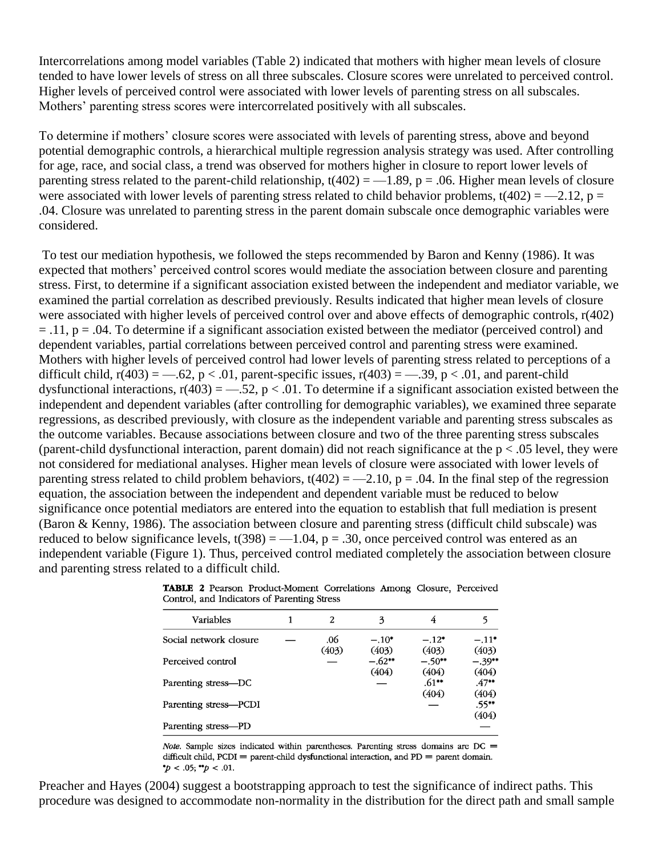Intercorrelations among model variables (Table 2) indicated that mothers with higher mean levels of closure tended to have lower levels of stress on all three subscales. Closure scores were unrelated to perceived control. Higher levels of perceived control were associated with lower levels of parenting stress on all subscales. Mothers' parenting stress scores were intercorrelated positively with all subscales.

To determine if mothers' closure scores were associated with levels of parenting stress, above and beyond potential demographic controls, a hierarchical multiple regression analysis strategy was used. After controlling for age, race, and social class, a trend was observed for mothers higher in closure to report lower levels of parenting stress related to the parent-child relationship,  $t(402) = -1.89$ ,  $p = .06$ . Higher mean levels of closure were associated with lower levels of parenting stress related to child behavior problems,  $t(402) = -2.12$ ,  $p =$ .04. Closure was unrelated to parenting stress in the parent domain subscale once demographic variables were considered.

To test our mediation hypothesis, we followed the steps recommended by Baron and Kenny (1986). It was expected that mothers' perceived control scores would mediate the association between closure and parenting stress. First, to determine if a significant association existed between the independent and mediator variable, we examined the partial correlation as described previously. Results indicated that higher mean levels of closure were associated with higher levels of perceived control over and above effects of demographic controls, r(402)  $=$  .11,  $p = 0.04$ . To determine if a significant association existed between the mediator (perceived control) and dependent variables, partial correlations between perceived control and parenting stress were examined. Mothers with higher levels of perceived control had lower levels of parenting stress related to perceptions of a difficult child,  $r(403) = -.62$ ,  $p < .01$ , parent-specific issues,  $r(403) = -.39$ ,  $p < .01$ , and parent-child dysfunctional interactions,  $r(403) = -.52$ ,  $p < .01$ . To determine if a significant association existed between the independent and dependent variables (after controlling for demographic variables), we examined three separate regressions, as described previously, with closure as the independent variable and parenting stress subscales as the outcome variables. Because associations between closure and two of the three parenting stress subscales (parent-child dysfunctional interaction, parent domain) did not reach significance at the  $p < .05$  level, they were not considered for mediational analyses. Higher mean levels of closure were associated with lower levels of parenting stress related to child problem behaviors,  $t(402) = -2.10$ ,  $p = .04$ . In the final step of the regression equation, the association between the independent and dependent variable must be reduced to below significance once potential mediators are entered into the equation to establish that full mediation is present (Baron & Kenny, 1986). The association between closure and parenting stress (difficult child subscale) was reduced to below significance levels,  $t(398) = -1.04$ ,  $p = .30$ , once perceived control was entered as an independent variable (Figure 1). Thus, perceived control mediated completely the association between closure and parenting stress related to a difficult child.

| Variables              | 2            | 3                 | 4                 |                   |
|------------------------|--------------|-------------------|-------------------|-------------------|
| Social network closure | .06<br>(403) | $-.10*$<br>(403)  | $-.12*$<br>(403)  | $-.11*$<br>(403)  |
| Perceived control      |              | $-.62**$<br>(404) | $-.50**$<br>(404) | $-.39**$<br>(404) |
| Parenting stress—DC    |              |                   | $.61***$          | $.47***$          |
| Parenting stress—PCDI  |              |                   | (404)             | (404)<br>$.55***$ |
| Parenting stress—PD    |              |                   |                   | (404)             |

TABLE 2 Pearson Product-Moment Correlations Among Closure, Perceived Control, and Indicators of Parenting Stress

*Note.* Sample sizes indicated within parentheses. Parenting stress domains are  $DC =$ difficult child,  $PCDI =$  parent-child dysfunctional interaction, and  $PD =$  parent domain. \* $p < .05$ ; \*\* $p < .01$ .

Preacher and Hayes (2004) suggest a bootstrapping approach to test the significance of indirect paths. This procedure was designed to accommodate non-normality in the distribution for the direct path and small sample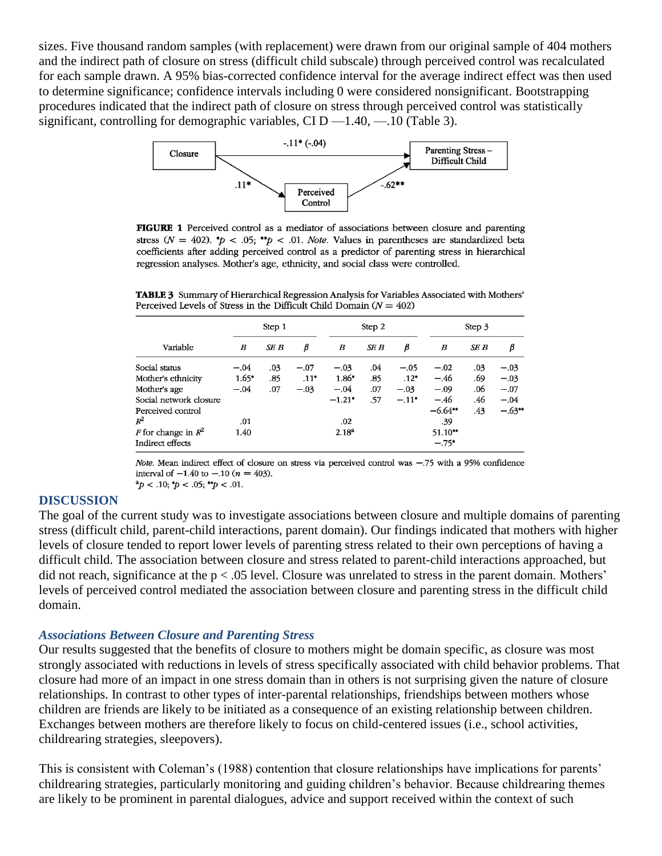sizes. Five thousand random samples (with replacement) were drawn from our original sample of 404 mothers and the indirect path of closure on stress (difficult child subscale) through perceived control was recalculated for each sample drawn. A 95% bias-corrected confidence interval for the average indirect effect was then used to determine significance; confidence intervals including 0 were considered nonsignificant. Bootstrapping procedures indicated that the indirect path of closure on stress through perceived control was statistically significant, controlling for demographic variables, CI D  $-1.40, -10$  (Table 3).



FIGURE 1 Perceived control as a mediator of associations between closure and parenting stress ( $N = 402$ ).  $\gamma p < .05$ ;  $\gamma p < .01$ . Note. Values in parentheses are standardized beta coefficients after adding perceived control as a predictor of parenting stress in hierarchical regression analyses. Mother's age, ethnicity, and social class were controlled.

**TABLE 3** Summary of Hierarchical Regression Analysis for Variables Associated with Mothers' Perceived Levels of Stress in the Difficult Child Domain ( $N = 402$ )

|                        | Step 1  |      | Step 2 |                      | Step 3 |         |           |      |          |
|------------------------|---------|------|--------|----------------------|--------|---------|-----------|------|----------|
| Variable               | B       | SE B | β      | В                    | SE B   | β       | B         | SE B | β        |
| Social status          | $-.04$  | .03  | $-.07$ | $-.03$               | .04    | $-.05$  | $-.02$    | .03  | $-.03$   |
| Mother's ethnicity     | $1.65*$ | .85  | $.11*$ | 1.86*                | .85    | $.12*$  | $-.46$    | .69  | $-.03$   |
| Mother's age           | $-.04$  | .07  | $-.03$ | $-.04$               | .07    | $-.03$  | $-.09$    | .06  | $-.07$   |
| Social network closure |         |      |        | $-1.21$ <sup>*</sup> | .57    | $-.11*$ | $-.46$    | .46  | $-.04$   |
| Perceived control      |         |      |        |                      |        |         | $-6.64**$ | .43  | $-.63**$ |
| $R^2$                  | .01     |      |        | .02                  |        |         | .39       |      |          |
| F for change in $R^2$  | 1.40    |      |        | $2.18^{a}$           |        |         | $51.10**$ |      |          |
| Indirect effects       |         |      |        |                      |        |         | $-.75*$   |      |          |

Note. Mean indirect effect of closure on stress via perceived control was -.75 with a 95% confidence interval of  $-1.40$  to  $-.10$  ( $n = 403$ ).

#### ${}^{a}p$  < .10;  ${}^{*}p$  < .05;  ${}^{**}p$  < .01.

## **DISCUSSION**

The goal of the current study was to investigate associations between closure and multiple domains of parenting stress (difficult child, parent-child interactions, parent domain). Our findings indicated that mothers with higher levels of closure tended to report lower levels of parenting stress related to their own perceptions of having a difficult child. The association between closure and stress related to parent-child interactions approached, but did not reach, significance at the  $p < .05$  level. Closure was unrelated to stress in the parent domain. Mothers' levels of perceived control mediated the association between closure and parenting stress in the difficult child domain.

#### *Associations Between Closure and Parenting Stress*

Our results suggested that the benefits of closure to mothers might be domain specific, as closure was most strongly associated with reductions in levels of stress specifically associated with child behavior problems. That closure had more of an impact in one stress domain than in others is not surprising given the nature of closure relationships. In contrast to other types of inter-parental relationships, friendships between mothers whose children are friends are likely to be initiated as a consequence of an existing relationship between children. Exchanges between mothers are therefore likely to focus on child-centered issues (i.e., school activities, childrearing strategies, sleepovers).

This is consistent with Coleman's (1988) contention that closure relationships have implications for parents' childrearing strategies, particularly monitoring and guiding children's behavior. Because childrearing themes are likely to be prominent in parental dialogues, advice and support received within the context of such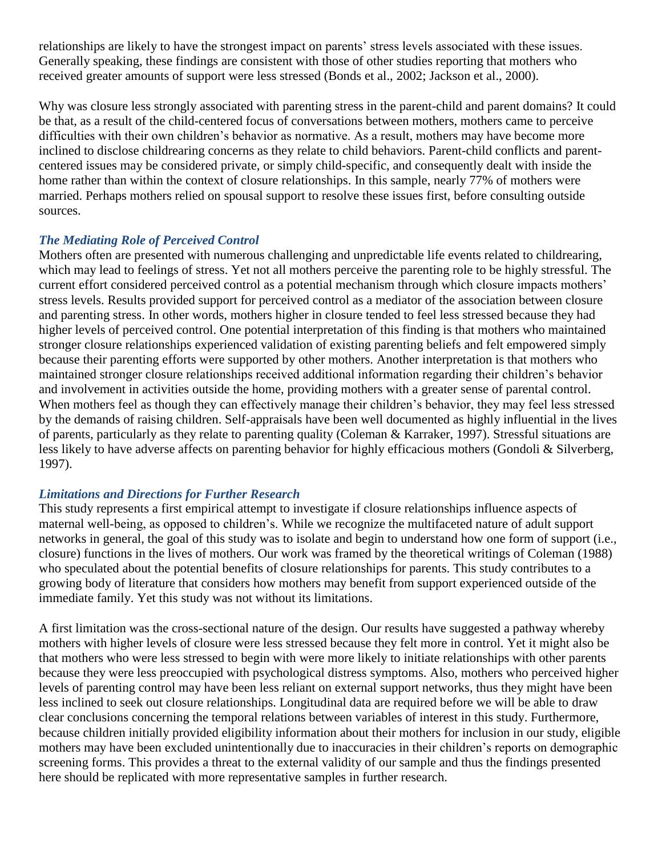relationships are likely to have the strongest impact on parents' stress levels associated with these issues. Generally speaking, these findings are consistent with those of other studies reporting that mothers who received greater amounts of support were less stressed (Bonds et al., 2002; Jackson et al., 2000).

Why was closure less strongly associated with parenting stress in the parent-child and parent domains? It could be that, as a result of the child-centered focus of conversations between mothers, mothers came to perceive difficulties with their own children's behavior as normative. As a result, mothers may have become more inclined to disclose childrearing concerns as they relate to child behaviors. Parent-child conflicts and parentcentered issues may be considered private, or simply child-specific, and consequently dealt with inside the home rather than within the context of closure relationships. In this sample, nearly 77% of mothers were married. Perhaps mothers relied on spousal support to resolve these issues first, before consulting outside sources.

## *The Mediating Role of Perceived Control*

Mothers often are presented with numerous challenging and unpredictable life events related to childrearing, which may lead to feelings of stress. Yet not all mothers perceive the parenting role to be highly stressful. The current effort considered perceived control as a potential mechanism through which closure impacts mothers' stress levels. Results provided support for perceived control as a mediator of the association between closure and parenting stress. In other words, mothers higher in closure tended to feel less stressed because they had higher levels of perceived control. One potential interpretation of this finding is that mothers who maintained stronger closure relationships experienced validation of existing parenting beliefs and felt empowered simply because their parenting efforts were supported by other mothers. Another interpretation is that mothers who maintained stronger closure relationships received additional information regarding their children's behavior and involvement in activities outside the home, providing mothers with a greater sense of parental control. When mothers feel as though they can effectively manage their children's behavior, they may feel less stressed by the demands of raising children. Self-appraisals have been well documented as highly influential in the lives of parents, particularly as they relate to parenting quality (Coleman & Karraker, 1997). Stressful situations are less likely to have adverse affects on parenting behavior for highly efficacious mothers (Gondoli & Silverberg, 1997).

## *Limitations and Directions for Further Research*

This study represents a first empirical attempt to investigate if closure relationships influence aspects of maternal well-being, as opposed to children's. While we recognize the multifaceted nature of adult support networks in general, the goal of this study was to isolate and begin to understand how one form of support (i.e., closure) functions in the lives of mothers. Our work was framed by the theoretical writings of Coleman (1988) who speculated about the potential benefits of closure relationships for parents. This study contributes to a growing body of literature that considers how mothers may benefit from support experienced outside of the immediate family. Yet this study was not without its limitations.

A first limitation was the cross-sectional nature of the design. Our results have suggested a pathway whereby mothers with higher levels of closure were less stressed because they felt more in control. Yet it might also be that mothers who were less stressed to begin with were more likely to initiate relationships with other parents because they were less preoccupied with psychological distress symptoms. Also, mothers who perceived higher levels of parenting control may have been less reliant on external support networks, thus they might have been less inclined to seek out closure relationships. Longitudinal data are required before we will be able to draw clear conclusions concerning the temporal relations between variables of interest in this study. Furthermore, because children initially provided eligibility information about their mothers for inclusion in our study, eligible mothers may have been excluded unintentionally due to inaccuracies in their children's reports on demographic screening forms. This provides a threat to the external validity of our sample and thus the findings presented here should be replicated with more representative samples in further research.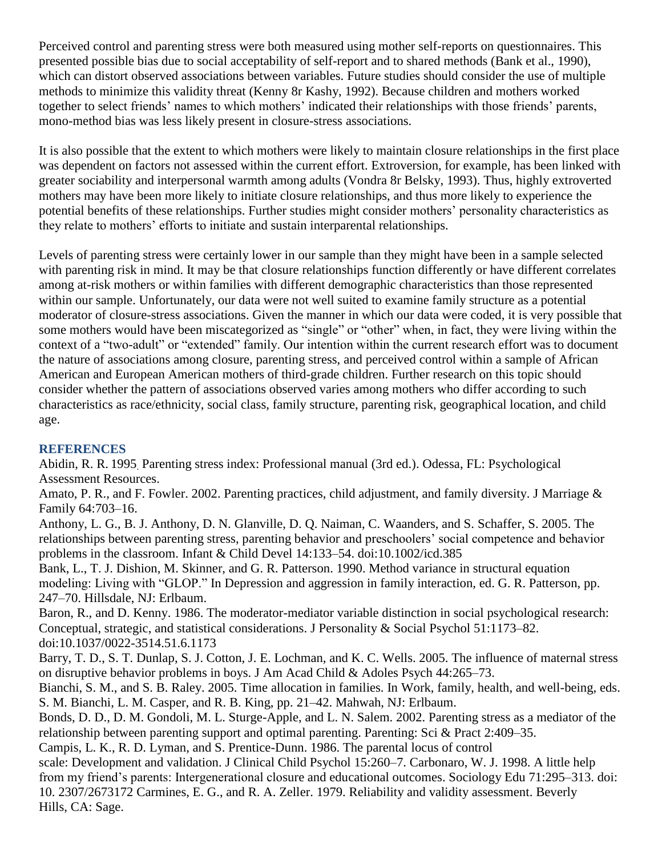Perceived control and parenting stress were both measured using mother self-reports on questionnaires. This presented possible bias due to social acceptability of self-report and to shared methods (Bank et al., 1990), which can distort observed associations between variables. Future studies should consider the use of multiple methods to minimize this validity threat (Kenny 8r Kashy, 1992). Because children and mothers worked together to select friends' names to which mothers' indicated their relationships with those friends' parents, mono-method bias was less likely present in closure-stress associations.

It is also possible that the extent to which mothers were likely to maintain closure relationships in the first place was dependent on factors not assessed within the current effort. Extroversion, for example, has been linked with greater sociability and interpersonal warmth among adults (Vondra 8r Belsky, 1993). Thus, highly extroverted mothers may have been more likely to initiate closure relationships, and thus more likely to experience the potential benefits of these relationships. Further studies might consider mothers' personality characteristics as they relate to mothers' efforts to initiate and sustain interparental relationships.

Levels of parenting stress were certainly lower in our sample than they might have been in a sample selected with parenting risk in mind. It may be that closure relationships function differently or have different correlates among at-risk mothers or within families with different demographic characteristics than those represented within our sample. Unfortunately, our data were not well suited to examine family structure as a potential moderator of closure-stress associations. Given the manner in which our data were coded, it is very possible that some mothers would have been miscategorized as "single" or "other" when, in fact, they were living within the context of a "two-adult" or "extended" family. Our intention within the current research effort was to document the nature of associations among closure, parenting stress, and perceived control within a sample of African American and European American mothers of third-grade children. Further research on this topic should consider whether the pattern of associations observed varies among mothers who differ according to such characteristics as race/ethnicity, social class, family structure, parenting risk, geographical location, and child age.

## **REFERENCES**

Abidin, R. R. 1995. Parenting stress index: Professional manual (3rd ed.). Odessa, FL: Psychological Assessment Resources.

Amato, P. R., and F. Fowler. 2002. Parenting practices, child adjustment, and family diversity. J Marriage & Family 64:703–16.

Anthony, L. G., B. J. Anthony, D. N. Glanville, D. Q. Naiman, C. Waanders, and S. Schaffer, S. 2005. The relationships between parenting stress, parenting behavior and preschoolers' social competence and behavior problems in the classroom. Infant & Child Devel 14:133–54. doi:10.1002/icd.385

Bank, L., T. J. Dishion, M. Skinner, and G. R. Patterson. 1990. Method variance in structural equation modeling: Living with "GLOP." In Depression and aggression in family interaction, ed. G. R. Patterson, pp. 247–70. Hillsdale, NJ: Erlbaum.

Baron, R., and D. Kenny. 1986. The moderator-mediator variable distinction in social psychological research: Conceptual, strategic, and statistical considerations. J Personality & Social Psychol 51:1173–82. doi:10.1037/0022-3514.51.6.1173

Barry, T. D., S. T. Dunlap, S. J. Cotton, J. E. Lochman, and K. C. Wells. 2005. The influence of maternal stress on disruptive behavior problems in boys. J Am Acad Child & Adoles Psych 44:265–73.

Bianchi, S. M., and S. B. Raley. 2005. Time allocation in families. In Work, family, health, and well-being, eds. S. M. Bianchi, L. M. Casper, and R. B. King, pp. 21–42. Mahwah, NJ: Erlbaum.

Bonds, D. D., D. M. Gondoli, M. L. Sturge-Apple, and L. N. Salem. 2002. Parenting stress as a mediator of the relationship between parenting support and optimal parenting. Parenting: Sci & Pract 2:409–35.

Campis, L. K., R. D. Lyman, and S. Prentice-Dunn. 1986. The parental locus of control

scale: Development and validation. J Clinical Child Psychol 15:260–7. Carbonaro, W. J. 1998. A little help from my friend's parents: Intergenerational closure and educational outcomes. Sociology Edu 71:295–313. doi: 10. 2307/2673172 Carmines, E. G., and R. A. Zeller. 1979. Reliability and validity assessment. Beverly Hills, CA: Sage.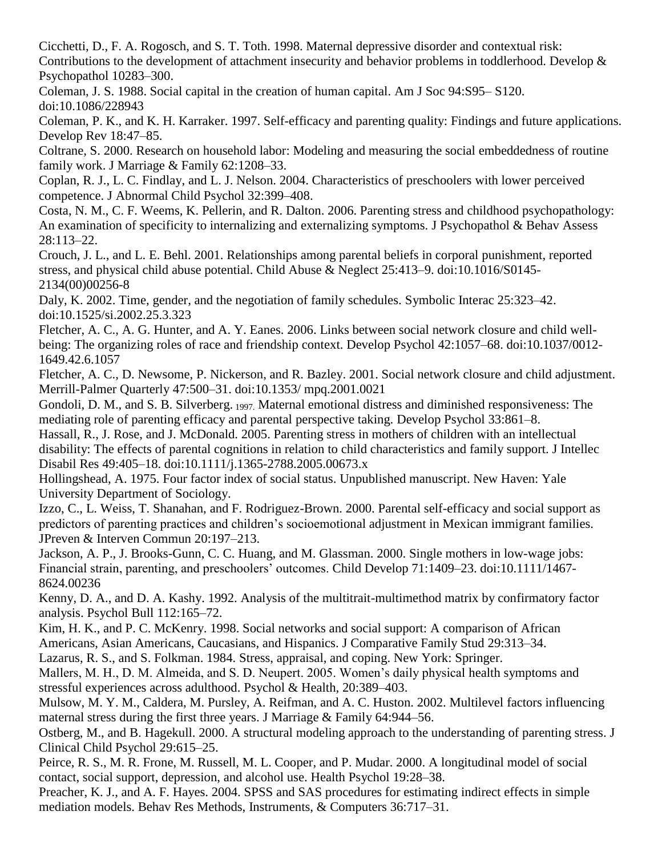Cicchetti, D., F. A. Rogosch, and S. T. Toth. 1998. Maternal depressive disorder and contextual risk:

Contributions to the development of attachment insecurity and behavior problems in toddlerhood. Develop & Psychopathol 10283–300.

Coleman, J. S. 1988. Social capital in the creation of human capital. Am J Soc 94:S95– S120. doi:10.1086/228943

Coleman, P. K., and K. H. Karraker. 1997. Self-efficacy and parenting quality: Findings and future applications. Develop Rev 18:47–85.

Coltrane, S. 2000. Research on household labor: Modeling and measuring the social embeddedness of routine family work. J Marriage & Family 62:1208–33.

Coplan, R. J., L. C. Findlay, and L. J. Nelson. 2004. Characteristics of preschoolers with lower perceived competence. J Abnormal Child Psychol 32:399–408.

Costa, N. M., C. F. Weems, K. Pellerin, and R. Dalton. 2006. Parenting stress and childhood psychopathology: An examination of specificity to internalizing and externalizing symptoms. J Psychopathol & Behav Assess 28:113–22.

Crouch, J. L., and L. E. Behl. 2001. Relationships among parental beliefs in corporal punishment, reported stress, and physical child abuse potential. Child Abuse & Neglect 25:413–9. doi:10.1016/S0145- 2134(00)00256-8

Daly, K. 2002. Time, gender, and the negotiation of family schedules. Symbolic Interac 25:323–42. doi:10.1525/si.2002.25.3.323

Fletcher, A. C., A. G. Hunter, and A. Y. Eanes. 2006. Links between social network closure and child wellbeing: The organizing roles of race and friendship context. Develop Psychol 42:1057–68. doi:10.1037/0012- 1649.42.6.1057

Fletcher, A. C., D. Newsome, P. Nickerson, and R. Bazley. 2001. Social network closure and child adjustment. Merrill-Palmer Quarterly 47:500–31. doi:10.1353/ mpq.2001.0021

Gondoli, D. M., and S. B. Silverberg. 1997. Maternal emotional distress and diminished responsiveness: The mediating role of parenting efficacy and parental perspective taking. Develop Psychol 33:861–8.

Hassall, R., J. Rose, and J. McDonald. 2005. Parenting stress in mothers of children with an intellectual disability: The effects of parental cognitions in relation to child characteristics and family support. J Intellec Disabil Res 49:405–18. doi:10.1111/j.1365-2788.2005.00673.x

Hollingshead, A. 1975. Four factor index of social status. Unpublished manuscript. New Haven: Yale University Department of Sociology.

Izzo, C., L. Weiss, T. Shanahan, and F. Rodriguez-Brown. 2000. Parental self-efficacy and social support as predictors of parenting practices and children's socioemotional adjustment in Mexican immigrant families. JPreven & Interven Commun 20:197–213.

Jackson, A. P., J. Brooks-Gunn, C. C. Huang, and M. Glassman. 2000. Single mothers in low-wage jobs: Financial strain, parenting, and preschoolers' outcomes. Child Develop 71:1409–23. doi:10.1111/1467- 8624.00236

Kenny, D. A., and D. A. Kashy. 1992. Analysis of the multitrait-multimethod matrix by confirmatory factor analysis. Psychol Bull 112:165–72.

Kim, H. K., and P. C. McKenry. 1998. Social networks and social support: A comparison of African Americans, Asian Americans, Caucasians, and Hispanics. J Comparative Family Stud 29:313–34.

Lazarus, R. S., and S. Folkman. 1984. Stress, appraisal, and coping. New York: Springer.

Mallers, M. H., D. M. Almeida, and S. D. Neupert. 2005. Women's daily physical health symptoms and stressful experiences across adulthood. Psychol & Health, 20:389–403.

Mulsow, M. Y. M., Caldera, M. Pursley, A. Reifman, and A. C. Huston. 2002. Multilevel factors influencing maternal stress during the first three years. J Marriage & Family 64:944–56.

Ostberg, M., and B. Hagekull. 2000. A structural modeling approach to the understanding of parenting stress. J Clinical Child Psychol 29:615–25.

Peirce, R. S., M. R. Frone, M. Russell, M. L. Cooper, and P. Mudar. 2000. A longitudinal model of social contact, social support, depression, and alcohol use. Health Psychol 19:28–38.

Preacher, K. J., and A. F. Hayes. 2004. SPSS and SAS procedures for estimating indirect effects in simple mediation models. Behav Res Methods, Instruments, & Computers 36:717–31.